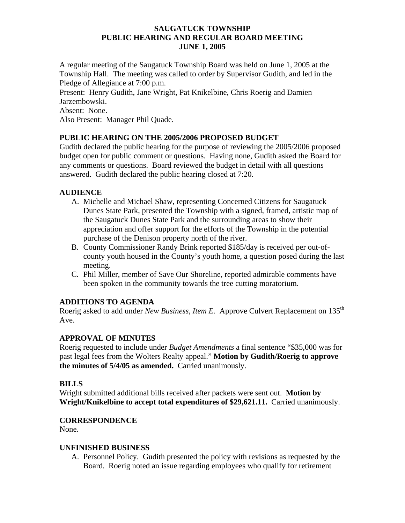### **SAUGATUCK TOWNSHIP PUBLIC HEARING AND REGULAR BOARD MEETING JUNE 1, 2005**

A regular meeting of the Saugatuck Township Board was held on June 1, 2005 at the Township Hall. The meeting was called to order by Supervisor Gudith, and led in the Pledge of Allegiance at 7:00 p.m.

Present: Henry Gudith, Jane Wright, Pat Knikelbine, Chris Roerig and Damien Jarzembowski.

Absent: None.

Also Present: Manager Phil Quade.

# **PUBLIC HEARING ON THE 2005/2006 PROPOSED BUDGET**

Gudith declared the public hearing for the purpose of reviewing the 2005/2006 proposed budget open for public comment or questions. Having none, Gudith asked the Board for any comments or questions. Board reviewed the budget in detail with all questions answered. Gudith declared the public hearing closed at 7:20.

# **AUDIENCE**

- A. Michelle and Michael Shaw, representing Concerned Citizens for Saugatuck Dunes State Park, presented the Township with a signed, framed, artistic map of the Saugatuck Dunes State Park and the surrounding areas to show their appreciation and offer support for the efforts of the Township in the potential purchase of the Denison property north of the river.
- B. County Commissioner Randy Brink reported \$185/day is received per out-ofcounty youth housed in the County's youth home, a question posed during the last meeting.
- C. Phil Miller, member of Save Our Shoreline, reported admirable comments have been spoken in the community towards the tree cutting moratorium.

# **ADDITIONS TO AGENDA**

Roerig asked to add under *New Business, Item E.* Approve Culvert Replacement on 135th Ave.

# **APPROVAL OF MINUTES**

Roerig requested to include under *Budget Amendments* a final sentence "\$35,000 was for past legal fees from the Wolters Realty appeal." **Motion by Gudith/Roerig to approve the minutes of 5/4/05 as amended.** Carried unanimously.

# **BILLS**

Wright submitted additional bills received after packets were sent out. **Motion by Wright/Knikelbine to accept total expenditures of \$29,621.11.** Carried unanimously.

# **CORRESPONDENCE**

None.

#### **UNFINISHED BUSINESS**

A. Personnel Policy. Gudith presented the policy with revisions as requested by the Board. Roerig noted an issue regarding employees who qualify for retirement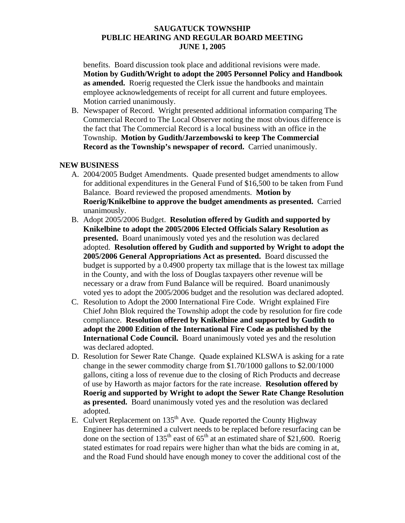### **SAUGATUCK TOWNSHIP PUBLIC HEARING AND REGULAR BOARD MEETING JUNE 1, 2005**

benefits. Board discussion took place and additional revisions were made. **Motion by Gudith/Wright to adopt the 2005 Personnel Policy and Handbook as amended.** Roerig requested the Clerk issue the handbooks and maintain employee acknowledgements of receipt for all current and future employees. Motion carried unanimously.

B. Newspaper of Record. Wright presented additional information comparing The Commercial Record to The Local Observer noting the most obvious difference is the fact that The Commercial Record is a local business with an office in the Township. **Motion by Gudith/Jarzembowski to keep The Commercial Record as the Township's newspaper of record.** Carried unanimously.

### **NEW BUSINESS**

- A. 2004/2005 Budget Amendments. Quade presented budget amendments to allow for additional expenditures in the General Fund of \$16,500 to be taken from Fund Balance. Board reviewed the proposed amendments. **Motion by Roerig/Knikelbine to approve the budget amendments as presented.** Carried unanimously.
- B. Adopt 2005/2006 Budget. **Resolution offered by Gudith and supported by Knikelbine to adopt the 2005/2006 Elected Officials Salary Resolution as presented.** Board unanimously voted yes and the resolution was declared adopted. **Resolution offered by Gudith and supported by Wright to adopt the 2005/2006 General Appropriations Act as presented.** Board discussed the budget is supported by a 0.4900 property tax millage that is the lowest tax millage in the County, and with the loss of Douglas taxpayers other revenue will be necessary or a draw from Fund Balance will be required. Board unanimously voted yes to adopt the 2005/2006 budget and the resolution was declared adopted.
- C. Resolution to Adopt the 2000 International Fire Code. Wright explained Fire Chief John Blok required the Township adopt the code by resolution for fire code compliance. **Resolution offered by Knikelbine and supported by Gudith to adopt the 2000 Edition of the International Fire Code as published by the International Code Council.** Board unanimously voted yes and the resolution was declared adopted.
- D. Resolution for Sewer Rate Change. Quade explained KLSWA is asking for a rate change in the sewer commodity charge from \$1.70/1000 gallons to \$2.00/1000 gallons, citing a loss of revenue due to the closing of Rich Products and decrease of use by Haworth as major factors for the rate increase. **Resolution offered by Roerig and supported by Wright to adopt the Sewer Rate Change Resolution as presented.** Board unanimously voted yes and the resolution was declared adopted.
- E. Culvert Replacement on  $135<sup>th</sup>$  Ave. Quade reported the County Highway Engineer has determined a culvert needs to be replaced before resurfacing can be done on the section of 135<sup>th</sup> east of  $65<sup>th</sup>$  at an estimated share of \$21,600. Roerig stated estimates for road repairs were higher than what the bids are coming in at, and the Road Fund should have enough money to cover the additional cost of the